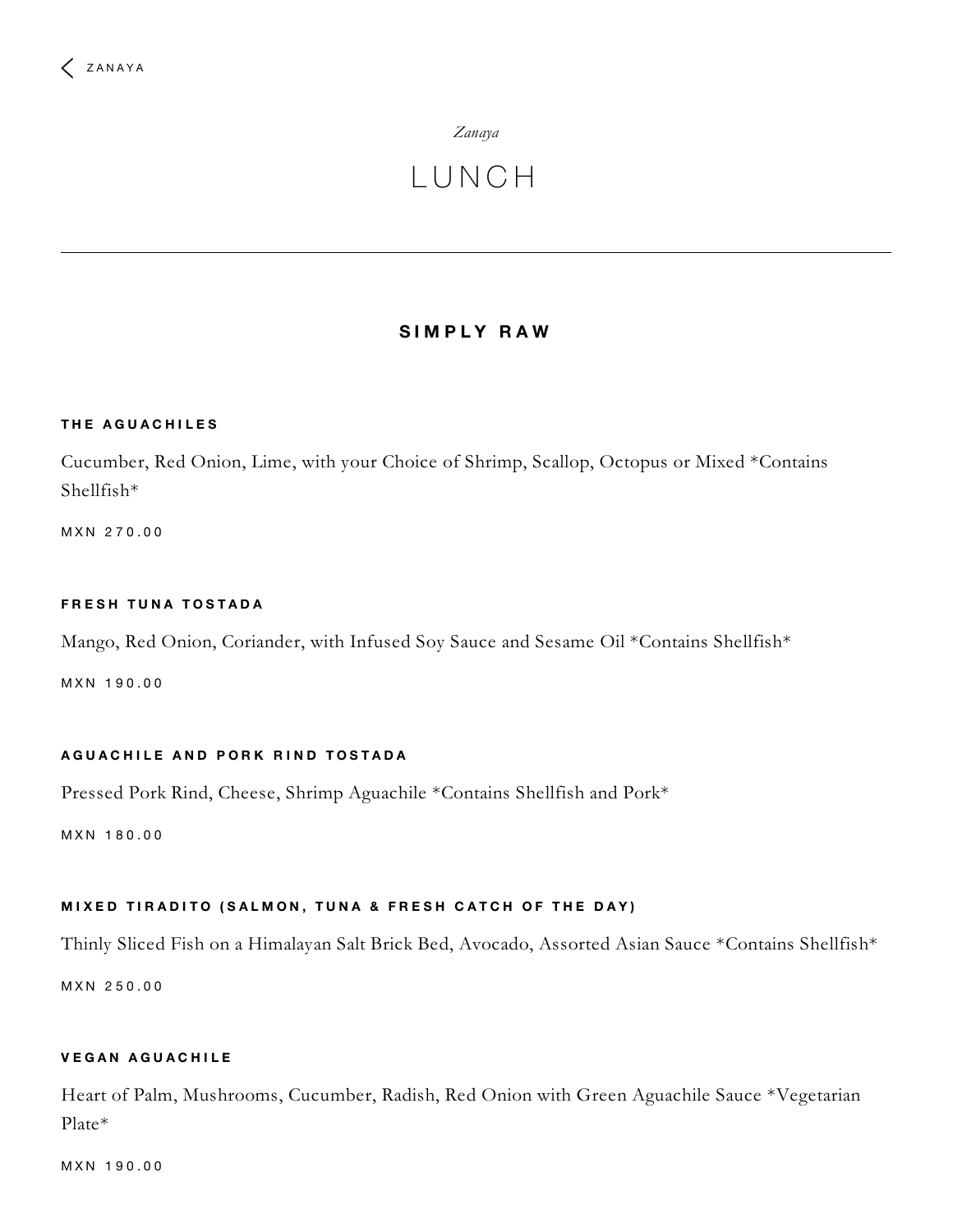# *[Zanaya](https://www.fourseasons.com/mexico/dining/restaurants/zanaya/)*

# L U N C H

# **S I M P L Y R A W**

#### **T H E A G U A C H I L E S**

Cucumber, Red Onion, Lime, with your Choice of Shrimp, Scallop, Octopus or Mixed \*Contains Shellfish\*

M X N 2 7 0 . 0 0

#### $F$ **RESH TUNA TOSTADA**

Mango, Red Onion, Coriander, with Infused Soy Sauce and Sesame Oil \*Contains Shellfish\*

M X N 1 9 0 . 0 0

#### AGUACHILE AND PORK RIND TOSTADA

Pressed Pork Rind, Cheese, Shrimp Aguachile \*Contains Shellfish and Pork\*

M X N 180.00

# MIXED TIRADITO (SALMON, TUNA & FRESH CATCH OF THE DAY)

Thinly Sliced Fish on a Himalayan Salt Brick Bed, Avocado, Assorted Asian Sauce \*Contains Shellfish\*

M X N 2 5 0 . 0 0

# **V E G A N A G U A C H I L E**

Heart of Palm, Mushrooms, Cucumber, Radish, Red Onion with Green Aguachile Sauce \*Vegetarian Plate\*

M X N 1 9 0 . 0 0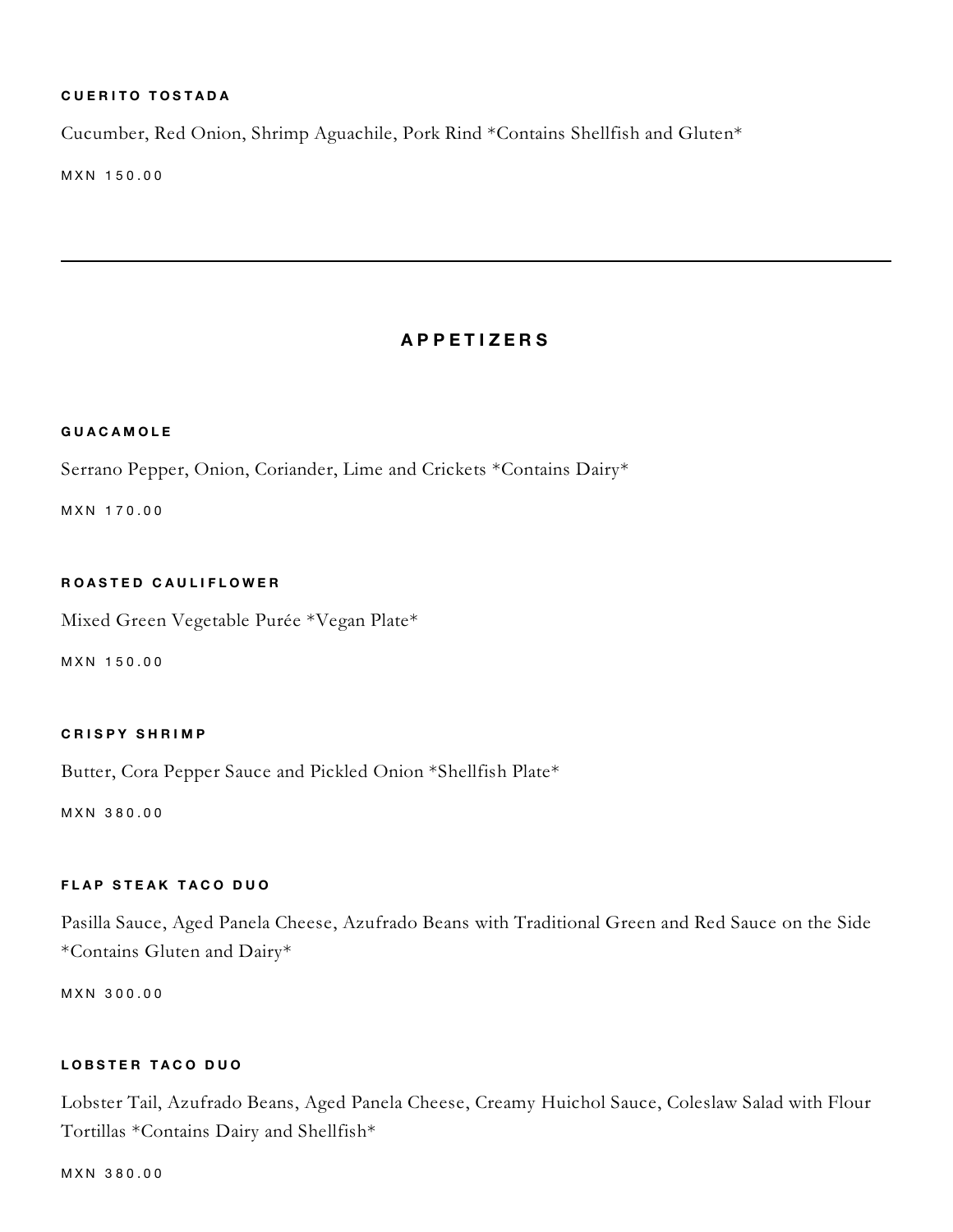# $C$  **UERITO TOSTADA**

Cucumber, Red Onion, Shrimp Aguachile, Pork Rind \*Contains Shellfish and Gluten\*

M X N 150.00

# **A P P E T I Z E R S**

#### **G U A C A M O L E**

Serrano Pepper, Onion, Coriander, Lime and Crickets \*Contains Dairy\*

M X N 1 7 0 . 0 0

# **R O A S T E D C A U L I F L O W E R**

Mixed Green Vegetable Purée \*Vegan Plate\*

M X N 150.00

#### **C R I S P Y S H R I M P**

Butter, Cora Pepper Sauce and Pickled Onion \*Shellfish Plate\*

M X N 3 8 0 . 0 0

## $F$  **LAP** STEAK TACO DUO

Pasilla Sauce, Aged Panela Cheese, Azufrado Beans with Traditional Green and Red Sauce on the Side \*Contains Gluten and Dairy\*

M X N 3 0 0 . 0 0

#### **L O B S T E R T A C O D U O**

Lobster Tail, Azufrado Beans, Aged Panela Cheese, Creamy Huichol Sauce, Coleslaw Salad with Flour Tortillas \*Contains Dairy and Shellfish\*

M X N 3 8 0 . 0 0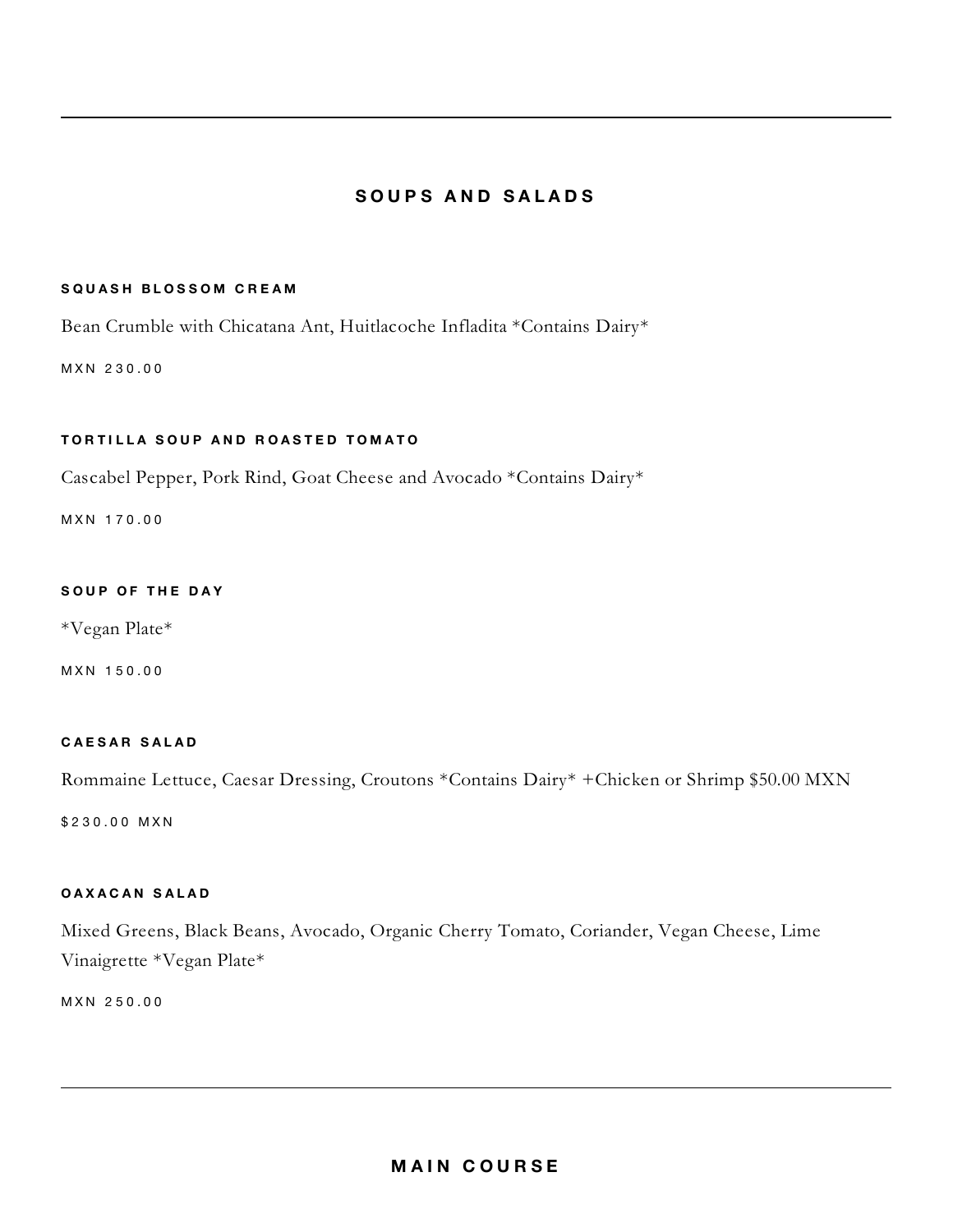# **S O U P S A N D S A L A D S**

#### $S$  **QUASH BLOSSOM CREAM**

Bean Crumble with Chicatana Ant, Huitlacoche Infladita \*Contains Dairy\*

M X N 2 3 0 . 0 0

#### TORTILLA SOUP AND ROASTED TOMATO

Cascabel Pepper, Pork Rind, Goat Cheese and Avocado \*Contains Dairy\*

M X N 170.00

## **S O U P O F T H E D A Y**

\*Vegan Plate\*

M X N 150.00

#### **C A E S A R S A L A D**

Rommaine Lettuce, Caesar Dressing, Croutons \*Contains Dairy\* +Chicken or Shrimp \$50.00 MXN

\$230.00 MXN

# **O A X A C A N S A L A D**

Mixed Greens, Black Beans, Avocado, Organic Cherry Tomato, Coriander, Vegan Cheese, Lime Vinaigrette \*Vegan Plate\*

M X N 2 5 0 . 0 0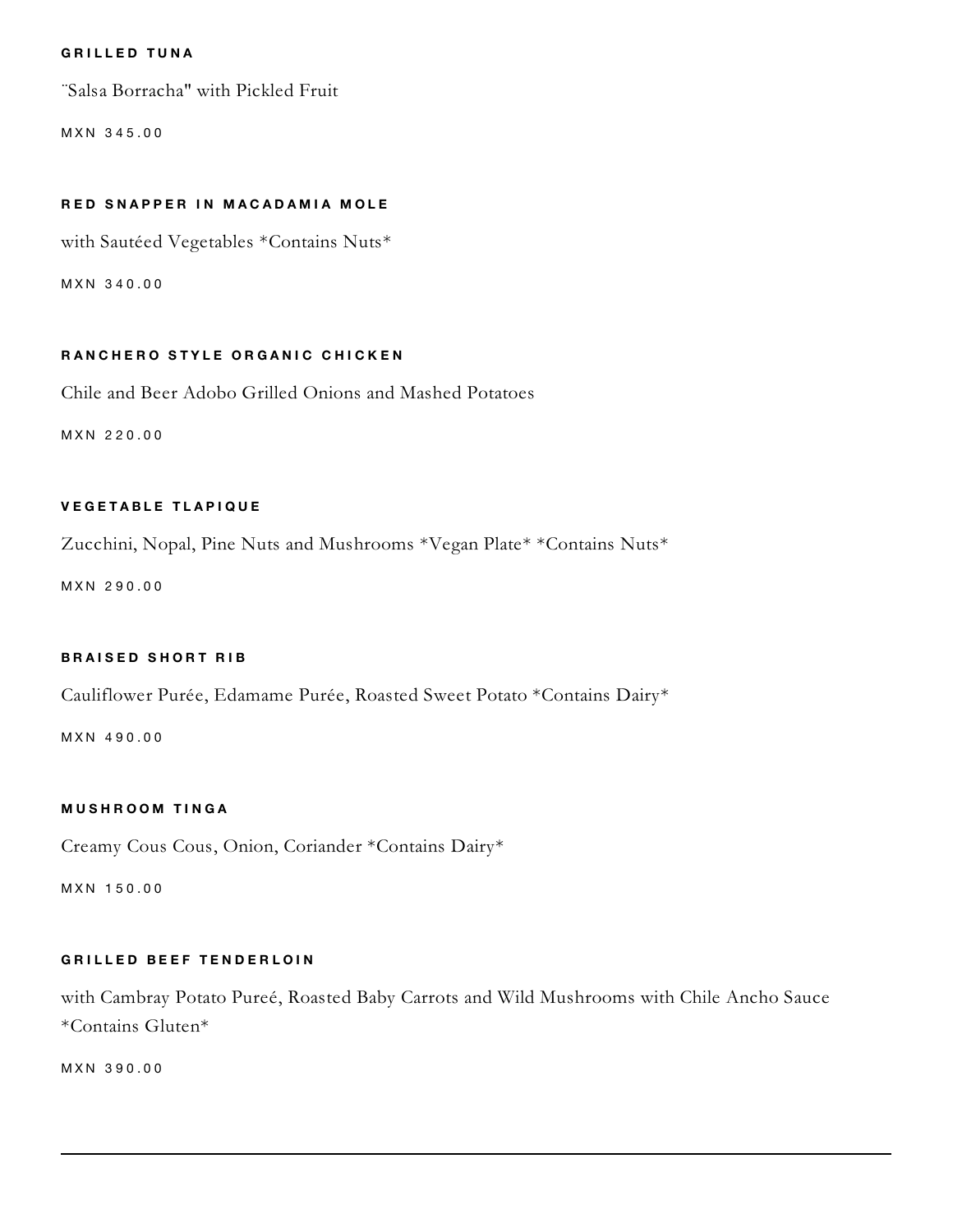#### **G R I L L E D T U N A**

¨Salsa Borracha" with Pickled Fruit

M X N 345.00

#### **R E D S N A P P E R I N M A C A D A M I A M O L E**

with Sautéed Vegetables \*Contains Nuts\*

M X N 3 4 0 . 0 0

#### RANCHERO STYLE ORGANIC CHICKEN

Chile and Beer Adobo Grilled Onions and Mashed Potatoes

M X N 2 2 0 . 0 0

#### **V E G E T A B L E T L A P I Q U E**

Zucchini, Nopal, Pine Nuts and Mushrooms \*Vegan Plate\* \*Contains Nuts\*

M X N 2 9 0 . 0 0

#### **B R A I S E D S H O R T R I B**

Cauliflower Purée, Edamame Purée, Roasted Sweet Potato \*Contains Dairy\*

M X N 4 9 0 . 0 0

#### **M U S H R O O M T I N G A**

Creamy Cous Cous, Onion, Coriander \*Contains Dairy\*

M X N 150.00

#### **G R I L L E D B E E F T E N D E R L O I N**

with Cambray Potato Pureé, Roasted Baby Carrots and Wild Mushrooms with Chile Ancho Sauce \*Contains Gluten\*

M X N 3 9 0 . 0 0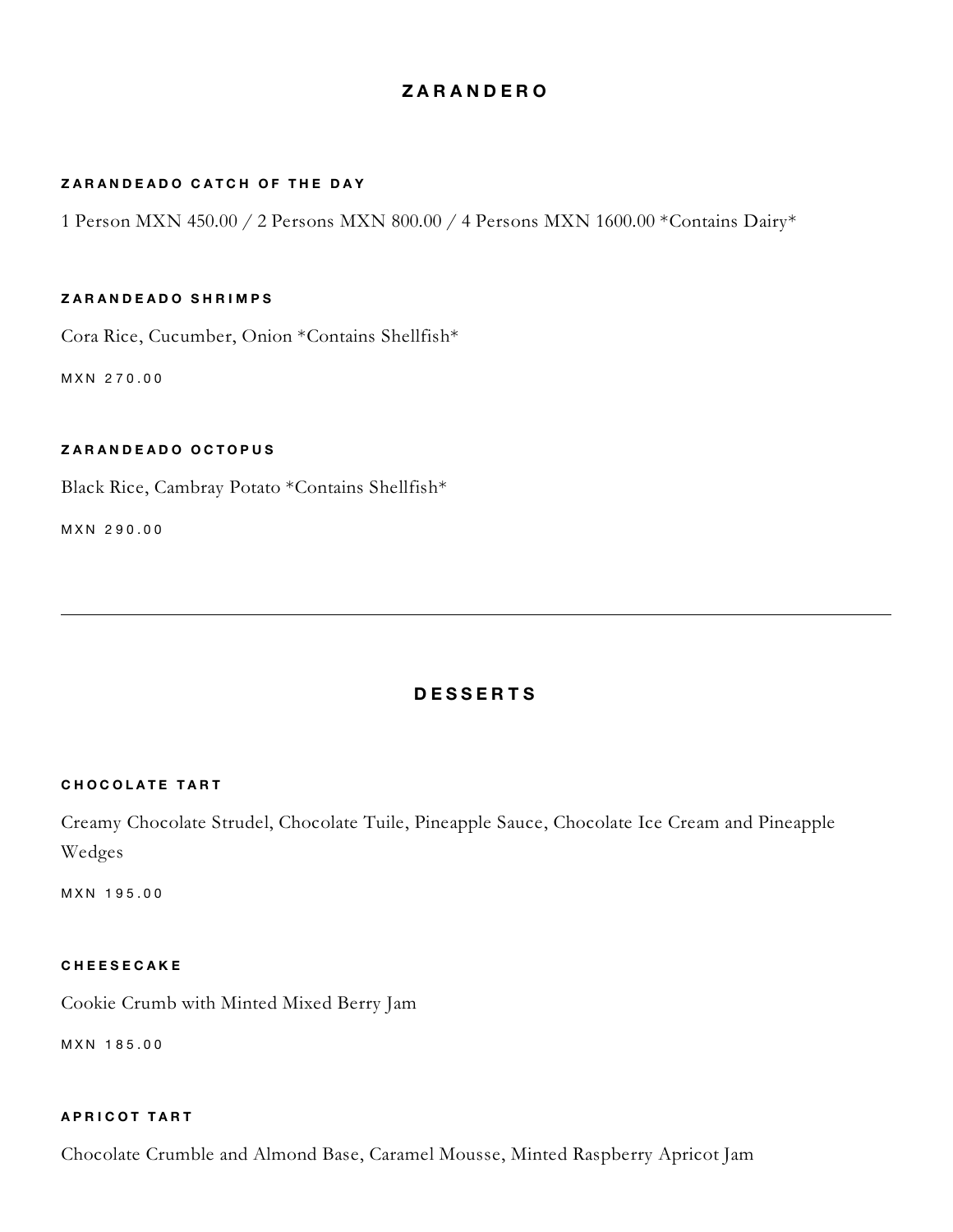# **Z A R A N D E R O**

# **Z A R A N D E A D O C A T C H O F T H E D A Y**

1 Person MXN 450.00 / 2 Persons MXN 800.00 / 4 Persons MXN 1600.00 \*Contains Dairy\*

#### **Z A R A N D E A D O S H R I M P S**

Cora Rice, Cucumber, Onion \*Contains Shellfish\*

M X N 2 7 0 . 0 0

#### **Z A R A N D E A D O O C T O P U S**

Black Rice, Cambray Potato \*Contains Shellfish\*

M X N 2 9 0 . 0 0

# **D E S S E R T S**

#### **C H O C O L A T E T A R T**

Creamy Chocolate Strudel, Chocolate Tuile, Pineapple Sauce, Chocolate Ice Cream and Pineapple Wedges

M X N 1 9 5 . 0 0

#### **C H E E S E C A K E**

Cookie Crumb with Minted Mixed Berry Jam

M X N 1 8 5 . 0 0

#### **A P R I C O T T A R T**

Chocolate Crumble and Almond Base, Caramel Mousse, Minted Raspberry Apricot Jam